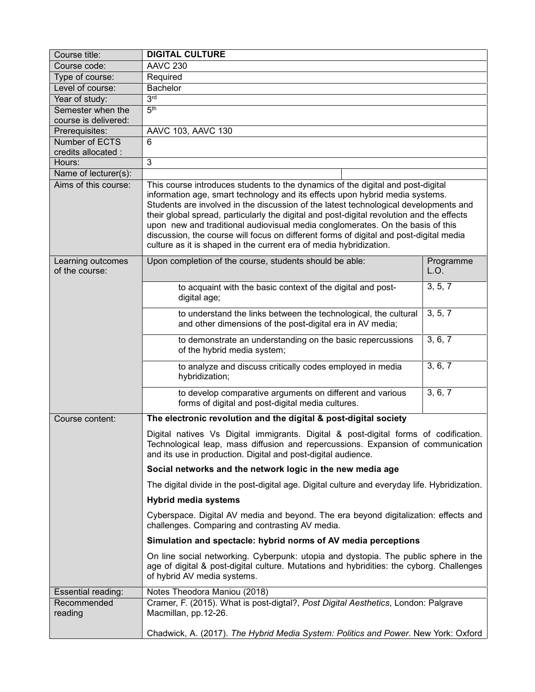| Course title:                             | <b>DIGITAL CULTURE</b>                                                                                                                                                                                                                                                                                                                                                                                                                                                                                                                                                                                 |                   |  |
|-------------------------------------------|--------------------------------------------------------------------------------------------------------------------------------------------------------------------------------------------------------------------------------------------------------------------------------------------------------------------------------------------------------------------------------------------------------------------------------------------------------------------------------------------------------------------------------------------------------------------------------------------------------|-------------------|--|
| Course code:                              | <b>AAVC 230</b>                                                                                                                                                                                                                                                                                                                                                                                                                                                                                                                                                                                        |                   |  |
| Type of course:                           | Required                                                                                                                                                                                                                                                                                                                                                                                                                                                                                                                                                                                               |                   |  |
| Level of course:                          | <b>Bachelor</b>                                                                                                                                                                                                                                                                                                                                                                                                                                                                                                                                                                                        |                   |  |
| Year of study:                            | 3 <sup>rd</sup>                                                                                                                                                                                                                                                                                                                                                                                                                                                                                                                                                                                        |                   |  |
| Semester when the<br>course is delivered: | 5 <sup>th</sup>                                                                                                                                                                                                                                                                                                                                                                                                                                                                                                                                                                                        |                   |  |
| Prerequisites:                            | AAVC 103, AAVC 130                                                                                                                                                                                                                                                                                                                                                                                                                                                                                                                                                                                     |                   |  |
| Number of ECTS                            | 6                                                                                                                                                                                                                                                                                                                                                                                                                                                                                                                                                                                                      |                   |  |
| credits allocated :                       |                                                                                                                                                                                                                                                                                                                                                                                                                                                                                                                                                                                                        |                   |  |
| Hours:                                    | 3                                                                                                                                                                                                                                                                                                                                                                                                                                                                                                                                                                                                      |                   |  |
| Name of lecturer(s):                      |                                                                                                                                                                                                                                                                                                                                                                                                                                                                                                                                                                                                        |                   |  |
| Aims of this course:                      | This course introduces students to the dynamics of the digital and post-digital<br>information age, smart technology and its effects upon hybrid media systems.<br>Students are involved in the discussion of the latest technological developments and<br>their global spread, particularly the digital and post-digital revolution and the effects<br>upon new and traditional audiovisual media conglomerates. On the basis of this<br>discussion, the course will focus on different forms of digital and post-digital media<br>culture as it is shaped in the current era of media hybridization. |                   |  |
| Learning outcomes<br>of the course:       | Upon completion of the course, students should be able:                                                                                                                                                                                                                                                                                                                                                                                                                                                                                                                                                | Programme<br>L.O. |  |
|                                           | to acquaint with the basic context of the digital and post-<br>digital age;                                                                                                                                                                                                                                                                                                                                                                                                                                                                                                                            | 3, 5, 7           |  |
|                                           | to understand the links between the technological, the cultural<br>and other dimensions of the post-digital era in AV media;                                                                                                                                                                                                                                                                                                                                                                                                                                                                           | 3, 5, 7           |  |
|                                           | to demonstrate an understanding on the basic repercussions<br>of the hybrid media system;                                                                                                                                                                                                                                                                                                                                                                                                                                                                                                              | 3, 6, 7           |  |
|                                           | to analyze and discuss critically codes employed in media<br>hybridization;                                                                                                                                                                                                                                                                                                                                                                                                                                                                                                                            | 3, 6, 7           |  |
|                                           | to develop comparative arguments on different and various<br>forms of digital and post-digital media cultures.                                                                                                                                                                                                                                                                                                                                                                                                                                                                                         | 3, 6, 7           |  |
| Course content:                           | The electronic revolution and the digital & post-digital society                                                                                                                                                                                                                                                                                                                                                                                                                                                                                                                                       |                   |  |
|                                           | Digital natives Vs Digital immigrants. Digital & post-digital forms of codification.<br>Technological leap, mass diffusion and repercussions. Expansion of communication<br>and its use in production. Digital and post-digital audience.                                                                                                                                                                                                                                                                                                                                                              |                   |  |
|                                           | Social networks and the network logic in the new media age                                                                                                                                                                                                                                                                                                                                                                                                                                                                                                                                             |                   |  |
|                                           | The digital divide in the post-digital age. Digital culture and everyday life. Hybridization.                                                                                                                                                                                                                                                                                                                                                                                                                                                                                                          |                   |  |
|                                           | <b>Hybrid media systems</b>                                                                                                                                                                                                                                                                                                                                                                                                                                                                                                                                                                            |                   |  |
|                                           | Cyberspace. Digital AV media and beyond. The era beyond digitalization: effects and<br>challenges. Comparing and contrasting AV media.                                                                                                                                                                                                                                                                                                                                                                                                                                                                 |                   |  |
|                                           | Simulation and spectacle: hybrid norms of AV media perceptions                                                                                                                                                                                                                                                                                                                                                                                                                                                                                                                                         |                   |  |
|                                           | On line social networking. Cyberpunk: utopia and dystopia. The public sphere in the<br>age of digital & post-digital culture. Mutations and hybridities: the cyborg. Challenges<br>of hybrid AV media systems.                                                                                                                                                                                                                                                                                                                                                                                         |                   |  |
| Essential reading:                        | Notes Theodora Maniou (2018)                                                                                                                                                                                                                                                                                                                                                                                                                                                                                                                                                                           |                   |  |
| Recommended<br>reading                    | Cramer, F. (2015). What is post-digtal?, Post Digital Aesthetics, London: Palgrave<br>Macmillan, pp.12-26.                                                                                                                                                                                                                                                                                                                                                                                                                                                                                             |                   |  |
|                                           | Chadwick, A. (2017). The Hybrid Media System: Politics and Power. New York: Oxford                                                                                                                                                                                                                                                                                                                                                                                                                                                                                                                     |                   |  |